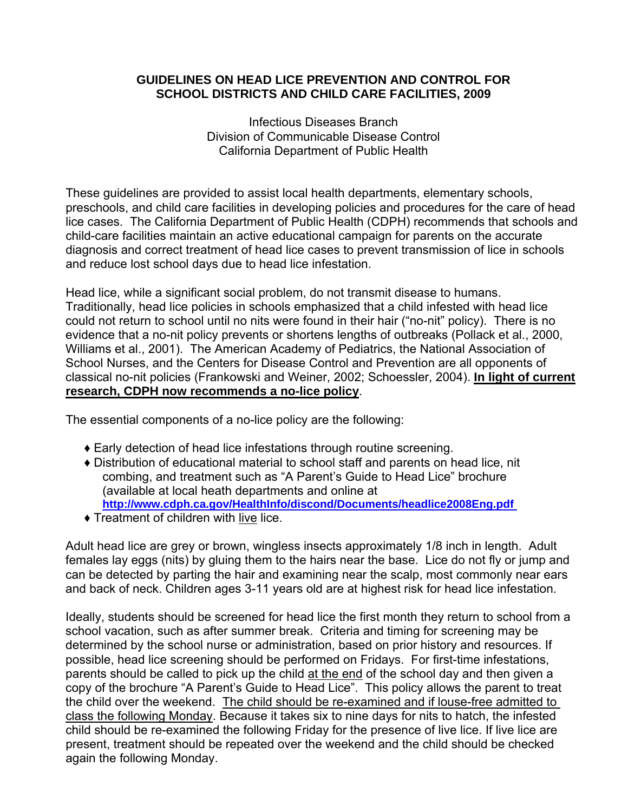## **GUIDELINES ON HEAD LICE PREVENTION AND CONTROL FOR SCHOOL DISTRICTS AND CHILD CARE FACILITIES, 2009**

Infectious Diseases Branch Division of Communicable Disease Control California Department of Public Health

These guidelines are provided to assist local health departments, elementary schools, preschools, and child care facilities in developing policies and procedures for the care of head lice cases. The California Department of Public Health (CDPH) recommends that schools and child-care facilities maintain an active educational campaign for parents on the accurate diagnosis and correct treatment of head lice cases to prevent transmission of lice in schools and reduce lost school days due to head lice infestation.

Head lice, while a significant social problem, do not transmit disease to humans. Traditionally, head lice policies in schools emphasized that a child infested with head lice could not return to school until no nits were found in their hair ("no-nit" policy). There is no evidence that a no-nit policy prevents or shortens lengths of outbreaks (Pollack et al., 2000, Williams et al., 2001). The American Academy of Pediatrics, the National Association of School Nurses, and the Centers for Disease Control and Prevention are all opponents of classical no-nit policies (Frankowski and Weiner, 2002; Schoessler, 2004). **In light of current research, CDPH now recommends a no-lice policy**.

The essential components of a no-lice policy are the following:

- ♦ Early detection of head lice infestations through routine screening.
- ♦ Distribution of educational material to school staff and parents on head lice, nit combing, and treatment such as "A Parent's Guide to Head Lice" brochure (available at local heath departments and online at **http://www.cdph.ca.gov/HealthInfo/discond/Documents/headlice2008Eng.pdf**
- Treatment of children with live lice.

Adult head lice are grey or brown, wingless insects approximately 1/8 inch in length. Adult females lay eggs (nits) by gluing them to the hairs near the base. Lice do not fly or jump and can be detected by parting the hair and examining near the scalp, most commonly near ears and back of neck. Children ages 3-11 years old are at highest risk for head lice infestation.

Ideally, students should be screened for head lice the first month they return to school from a school vacation, such as after summer break. Criteria and timing for screening may be determined by the school nurse or administration, based on prior history and resources. If possible, head lice screening should be performed on Fridays. For first-time infestations, parents should be called to pick up the child at the end of the school day and then given a copy of the brochure "A Parent's Guide to Head Lice". This policy allows the parent to treat the child over the weekend. The child should be re-examined and if louse-free admitted to class the following Monday. Because it takes six to nine days for nits to hatch, the infested child should be re-examined the following Friday for the presence of live lice. If live lice are present, treatment should be repeated over the weekend and the child should be checked again the following Monday.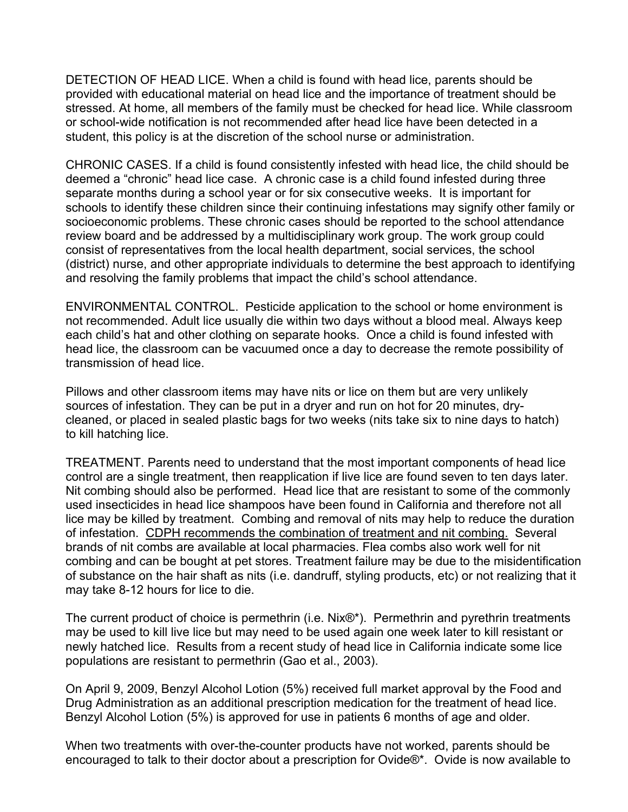DETECTION OF HEAD LICE. When a child is found with head lice, parents should be provided with educational material on head lice and the importance of treatment should be stressed. At home, all members of the family must be checked for head lice. While classroom or school-wide notification is not recommended after head lice have been detected in a student, this policy is at the discretion of the school nurse or administration.

CHRONIC CASES. If a child is found consistently infested with head lice, the child should be deemed a "chronic" head lice case. A chronic case is a child found infested during three separate months during a school year or for six consecutive weeks. It is important for schools to identify these children since their continuing infestations may signify other family or socioeconomic problems. These chronic cases should be reported to the school attendance review board and be addressed by a multidisciplinary work group. The work group could consist of representatives from the local health department, social services, the school (district) nurse, and other appropriate individuals to determine the best approach to identifying and resolving the family problems that impact the child's school attendance.

ENVIRONMENTAL CONTROL. Pesticide application to the school or home environment is not recommended. Adult lice usually die within two days without a blood meal. Always keep each child's hat and other clothing on separate hooks. Once a child is found infested with head lice, the classroom can be vacuumed once a day to decrease the remote possibility of transmission of head lice.

Pillows and other classroom items may have nits or lice on them but are very unlikely sources of infestation. They can be put in a dryer and run on hot for 20 minutes, drycleaned, or placed in sealed plastic bags for two weeks (nits take six to nine days to hatch) to kill hatching lice.

TREATMENT. Parents need to understand that the most important components of head lice control are a single treatment, then reapplication if live lice are found seven to ten days later. Nit combing should also be performed. Head lice that are resistant to some of the commonly used insecticides in head lice shampoos have been found in California and therefore not all lice may be killed by treatment. Combing and removal of nits may help to reduce the duration of infestation. CDPH recommends the combination of treatment and nit combing. Several brands of nit combs are available at local pharmacies. Flea combs also work well for nit combing and can be bought at pet stores. Treatment failure may be due to the misidentification of substance on the hair shaft as nits (i.e. dandruff, styling products, etc) or not realizing that it may take 8-12 hours for lice to die.

The current product of choice is permethrin (i.e. Nix®\*). Permethrin and pyrethrin treatments may be used to kill live lice but may need to be used again one week later to kill resistant or newly hatched lice. Results from a recent study of head lice in California indicate some lice populations are resistant to permethrin (Gao et al., 2003).

On April 9, 2009, Benzyl Alcohol Lotion (5%) received full market approval by the Food and Drug Administration as an additional prescription medication for the treatment of head lice. Benzyl Alcohol Lotion (5%) is approved for use in patients 6 months of age and older.

When two treatments with over-the-counter products have not worked, parents should be encouraged to talk to their doctor about a prescription for Ovide®\*. Ovide is now available to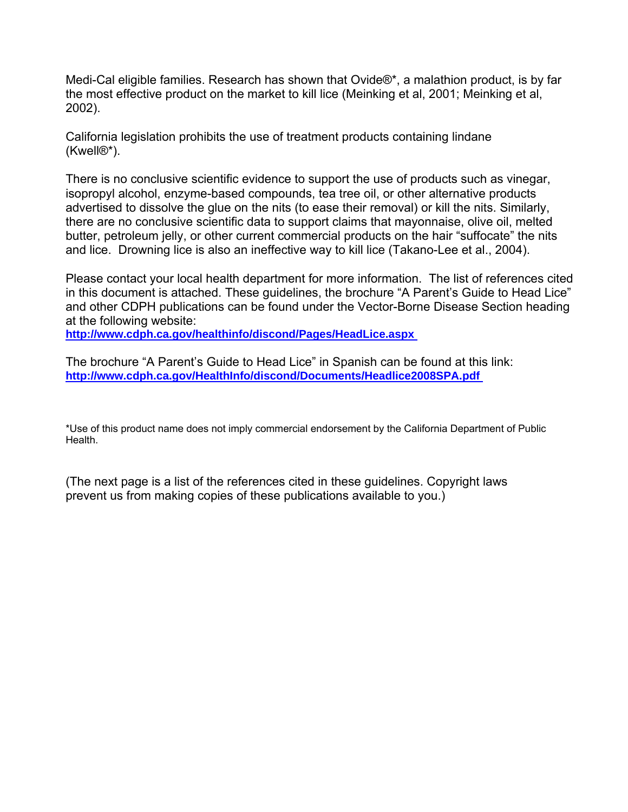Medi-Cal eligible families. Research has shown that Ovide®\*, a malathion product, is by far the most effective product on the market to kill lice (Meinking et al, 2001; Meinking et al, 2002).

California legislation prohibits the use of treatment products containing lindane (Kwell®\*).

There is no conclusive scientific evidence to support the use of products such as vinegar, isopropyl alcohol, enzyme-based compounds, tea tree oil, or other alternative products advertised to dissolve the glue on the nits (to ease their removal) or kill the nits. Similarly, there are no conclusive scientific data to support claims that mayonnaise, olive oil, melted butter, petroleum jelly, or other current commercial products on the hair "suffocate" the nits and lice. Drowning lice is also an ineffective way to kill lice (Takano-Lee et al., 2004).

Please contact your local health department for more information. The list of references cited in this document is attached. These guidelines, the brochure "A Parent's Guide to Head Lice" and other CDPH publications can be found under the Vector-Borne Disease Section heading at the following website:

**http://www.cdph.ca.gov/healthinfo/discond/Pages/HeadLice.aspx** 

The brochure "A Parent's Guide to Head Lice" in Spanish can be found at this link: **http://www.cdph.ca.gov/HealthInfo/discond/Documents/Headlice2008SPA.pdf** 

\*Use of this product name does not imply commercial endorsement by the California Department of Public Health.

(The next page is a list of the references cited in these guidelines. Copyright laws prevent us from making copies of these publications available to you.)